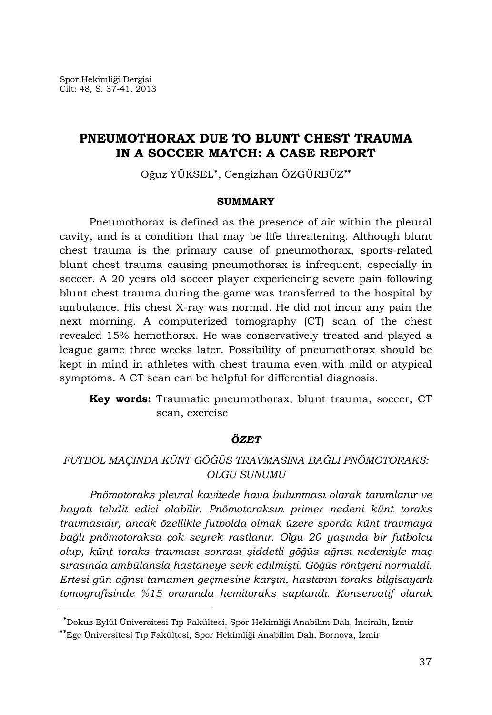l

# **PNEUMOTHORAX DUE TO BLUNT CHEST TRAUMA IN A SOCCER MATCH: A CASE REPORT**

Oğuz YÜKSEL<sup>\*</sup>, Cengizhan ÖZGÜRBÜZ<sup>\*\*</sup>

#### **SUMMARY**

Pneumothorax is defined as the presence of air within the pleural cavity, and is a condition that may be life threatening. Although blunt chest trauma is the primary cause of pneumothorax, sports-related blunt chest trauma causing pneumothorax is infrequent, especially in soccer. A 20 years old soccer player experiencing severe pain following blunt chest trauma during the game was transferred to the hospital by ambulance. His chest X-ray was normal. He did not incur any pain the next morning. A computerized tomography (CT) scan of the chest revealed 15% hemothorax. He was conservatively treated and played a league game three weeks later. Possibility of pneumothorax should be kept in mind in athletes with chest trauma even with mild or atypical symptoms. A CT scan can be helpful for differential diagnosis.

**Key words:** Traumatic pneumothorax, blunt trauma, soccer, CT scan, exercise

## *ÖZET*

## *FUTBOL MAÇINDA KÜNT GÖĞÜS TRAVMASINA BAĞLI PNÖMOTORAKS: OLGU SUNUMU*

*Pnömotoraks plevral kavitede hava bulunması olarak tanımlanır ve hayatı tehdit edici olabilir. Pnömotoraksın primer nedeni künt toraks travmasıdır, ancak özellikle futbolda olmak üzere sporda künt travmaya bağlı pnömotoraksa çok seyrek rastlanır. Olgu 20 yaşında bir futbolcu olup, künt toraks travması sonrası şiddetli göğüs ağrısı nedeniyle maç sırasında ambülansla hastaneye sevk edilmişti. Göğüs röntgeni normaldi. Ertesi gün ağrısı tamamen geçmesine karşın, hastanın toraks bilgisayarlı tomografisinde %15 oranında hemitoraks saptandı. Konservatif olarak* 

<span id="page-0-0"></span>Dokuz Eylül Üniversitesi Tıp Fakültesi, Spor Hekimliği Anabilim Dalı, İnciraltı, İzmir

<span id="page-0-1"></span>Ege Üniversitesi Tıp Fakültesi, Spor Hekimliği Anabilim Dalı, Bornova, İzmir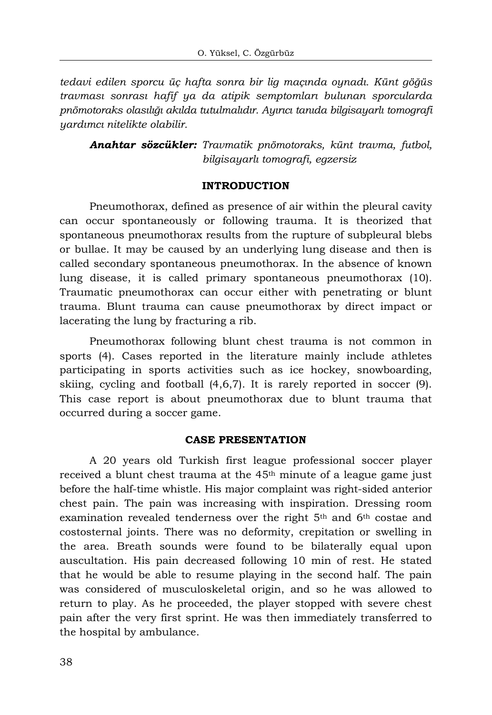*tedavi edilen sporcu üç hafta sonra bir lig maçında oynadı. Künt göğüs travması sonrası hafif ya da atipik semptomları bulunan sporcularda pnömotoraks olasılığı akılda tutulmalıdır. Ayırıcı tanıda bilgisayarlı tomografi yardımcı nitelikte olabilir.* 

*Anahtar sözcükler: Travmatik pnömotoraks, künt travma, futbol, bilgisayarlı tomografi, egzersiz* 

### **INTRODUCTION**

Pneumothorax, defined as presence of air within the pleural cavity can occur spontaneously or following trauma. It is theorized that spontaneous pneumothorax results from the rupture of subpleural blebs or bullae. It may be caused by an underlying lung disease and then is called secondary spontaneous pneumothorax. In the absence of known lung disease, it is called primary spontaneous pneumothorax (10). Traumatic pneumothorax can occur either with penetrating or blunt trauma. Blunt trauma can cause pneumothorax by direct impact or lacerating the lung by fracturing a rib.

Pneumothorax following blunt chest trauma is not common in sports (4). Cases reported in the literature mainly include athletes participating in sports activities such as ice hockey, snowboarding, skiing, cycling and football (4,6,7). It is rarely reported in soccer (9). This case report is about pneumothorax due to blunt trauma that occurred during a soccer game.

### **CASE PRESENTATION**

A 20 years old Turkish first league professional soccer player received a blunt chest trauma at the 45<sup>th</sup> minute of a league game just before the half-time whistle. His major complaint was right-sided anterior chest pain. The pain was increasing with inspiration. Dressing room examination revealed tenderness over the right  $5<sup>th</sup>$  and  $6<sup>th</sup>$  costae and costosternal joints. There was no deformity, crepitation or swelling in the area. Breath sounds were found to be bilaterally equal upon auscultation. His pain decreased following 10 min of rest. He stated that he would be able to resume playing in the second half. The pain was considered of musculoskeletal origin, and so he was allowed to return to play. As he proceeded, the player stopped with severe chest pain after the very first sprint. He was then immediately transferred to the hospital by ambulance.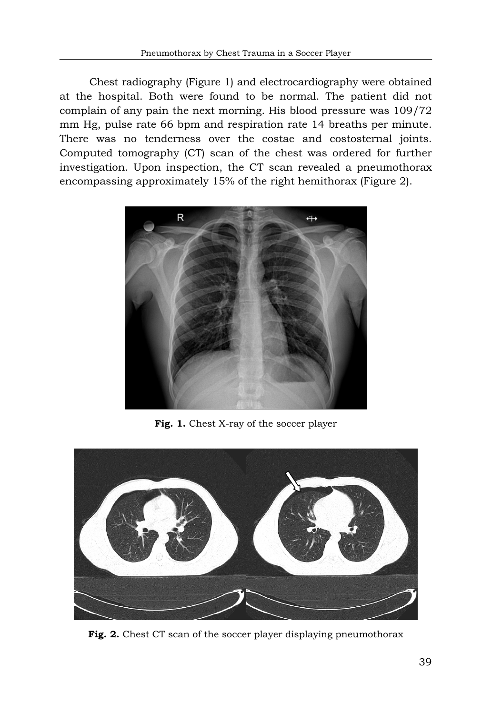Chest radiography (Figure 1) and electrocardiography were obtained at the hospital. Both were found to be normal. The patient did not complain of any pain the next morning. His blood pressure was 109/72 mm Hg, pulse rate 66 bpm and respiration rate 14 breaths per minute. There was no tenderness over the costae and costosternal joints. Computed tomography (CT) scan of the chest was ordered for further investigation. Upon inspection, the CT scan revealed a pneumothorax encompassing approximately 15% of the right hemithorax (Figure 2).



**Fig. 1.** Chest X-ray of the soccer player



Fig. 2. Chest CT scan of the soccer player displaying pneumothorax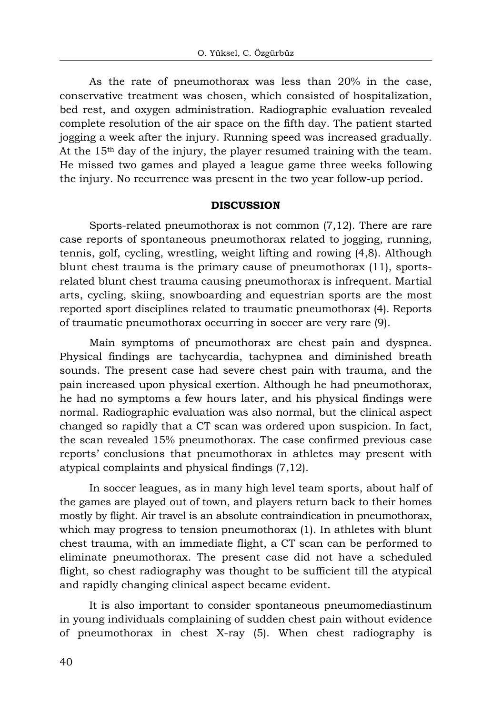As the rate of pneumothorax was less than 20% in the case, conse rvative treatment was chosen, which consisted of hospitalization, bed rest, and oxygen administration. Radiographic evaluation revealed complete resolution of the air space on the fifth day. The patient started jogging a week after the injury. Running speed was increased gradually. At the 15th day of the injury, the player resumed training with the team. He missed two games and played a league game three weeks following the injury. No recurrence was present in the two year follow-up period.

#### **DISCUSSION**

Sports-related pneumothorax is not common  $(7,12)$ . There are rare case r eports of spontaneous pneumothorax related to jogging, running, tennis, golf, cycling, wrestling, weight lifting and rowing (4,8). Although blunt chest trauma is the primary cause of pneumothorax (11), sportsrelated blunt chest trauma causing pneumothorax is infrequent. Martial arts, cycling, skiing, snowboarding and equestrian sports are the most reported sport disciplines related to traumatic pneumothorax (4). Reports of traumatic pneumothorax occurring in soccer are very rare (9).

Main symptoms of pneumothorax are chest pain and dyspnea. Physi cal findings are tachycardia, tachypnea and diminished breath sounds. The present case had severe chest pain with trauma, and the pain increased upon physical exertion. Although he had pneumothorax, he had no symptoms a few hours later, and his physical findings were normal. Radiographic evaluation was also normal, but the clinical aspect changed so rapidly that a CT scan was ordered upon suspicion. In fact, the scan revealed 15% pneumothorax. The case confirmed previous case reports' conclusions that pneumothorax in athletes may present with atypical complaints and physical findings (7,12).

In soccer leagues, as in many high level team sports, about half of the ga mes are played out of town, and players return back to their homes mostly by flight. Air travel is an absolute contraindication in pneumothorax, which may progress to tension pneumothorax (1). In athletes with blunt chest trauma, with an immediate flight, a CT scan can be performed to eliminate pneumothorax. The present case did not have a scheduled flight, so chest radiography was thought to be sufficient till the atypical and rapidly changing clinical aspect became evident.

It is also important to consider spontaneous pneumomediastinum in you ng individuals complaining of sudden chest pain without evidence of pneumothorax in chest X-ray (5). When chest radiography is